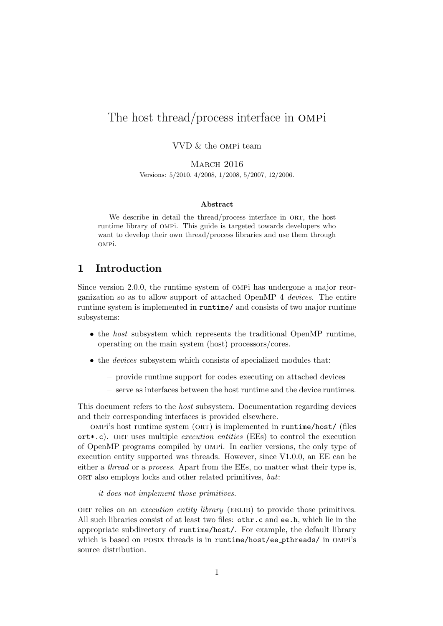# The host thread/process interface in ompi

VVD & the ompi team

MARCH 2016 Versions: 5/2010, 4/2008, 1/2008, 5/2007, 12/2006.

#### **Abstract**

We describe in detail the thread/process interface in ORT, the host runtime library of ompi. This guide is targeted towards developers who want to develop their own thread/process libraries and use them through ompi.

# **1 Introduction**

Since version 2.0.0, the runtime system of ompi has undergone a major reorganization so as to allow support of attached OpenMP 4 *devices*. The entire runtime system is implemented in runtime/ and consists of two major runtime subsystems:

- *•* the *host* subsystem which represents the traditional OpenMP runtime, operating on the main system (host) processors/cores.
- the *devices* subsystem which consists of specialized modules that:
	- **–** provide runtime support for codes executing on attached devices
	- **–** serve as interfaces between the host runtime and the device runtimes.

This document refers to the *host* subsystem. Documentation regarding devices and their corresponding interfaces is provided elsewhere.

ompi's host runtime system (ort) is implemented in runtime/host/ (files ort\*.c). ort uses multiple *execution entities* (EEs) to control the execution of OpenMP programs compiled by ompi. In earlier versions, the only type of execution entity supported was threads. However, since V1.0.0, an EE can be either a *thread* or a *process*. Apart from the EEs, no matter what their type is, ort also employs locks and other related primitives, *but*:

*it does not implement those primitives.*

ort relies on an *execution entity library* (EELIB) to provide those primitives. All such libraries consist of at least two files: othr.c and ee.h, which lie in the appropriate subdirectory of runtime/host/. For example, the default library which is based on posix threads is in runtime/host/ee pthreads/ in ompi's source distribution.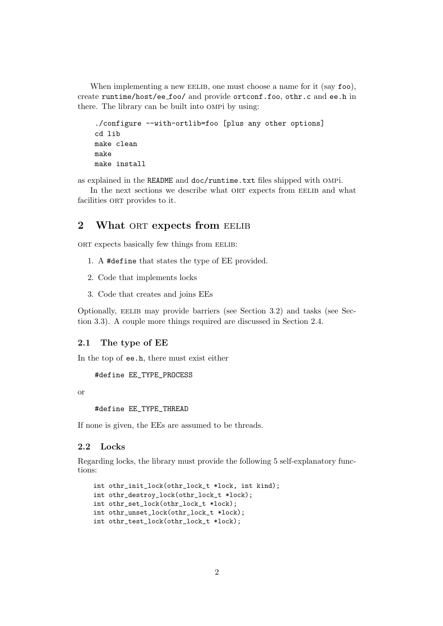When implementing a new EELIB, one must choose a name for it (say  $f \circ \circ$ ), create runtime/host/ee foo/ and provide ortconf.foo, othr.c and ee.h in there. The library can be built into ompi by using:

```
./configure --with-ortlib=foo [plus any other options]
cd lib
make clean
make
make install
```
as explained in the README and doc/runtime.txt files shipped with ompi.

In the next sections we describe what ORT expects from EELIB and what facilities ORT provides to it.

# **2** What ORT **expects from** EELIB

ORT expects basically few things from EELIB:

- 1. A #define that states the type of EE provided.
- 2. Code that implements locks
- 3. Code that creates and joins EEs

Optionally, EELIB may provide barriers (see Section 3.2) and tasks (see Section 3.3). A couple more things required are discussed in Section 2.4.

### **2.1 The type of EE**

In the top of ee.h, there must exist either

#define EE\_TYPE\_PROCESS

or

#define EE\_TYPE\_THREAD

If none is given, the EEs are assumed to be threads.

#### **2.2 Locks**

Regarding locks, the library must provide the following 5 self-explanatory functions:

```
int othr_init_lock(othr_lock_t *lock, int kind);
int othr_destroy_lock(othr_lock_t *lock);
int othr_set_lock(othr_lock_t *lock);
int othr_unset_lock(othr_lock_t *lock);
int othr_test_lock(othr_lock_t *lock);
```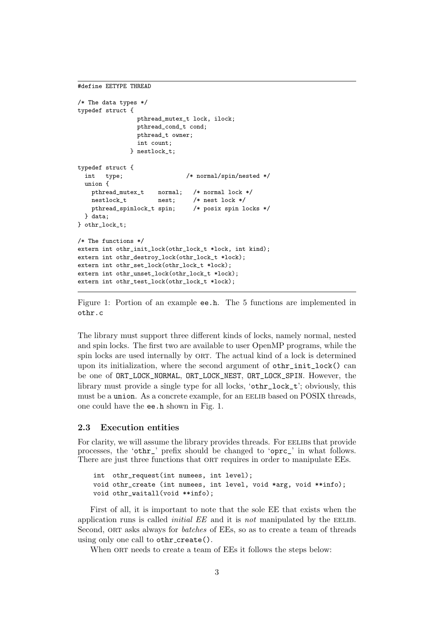```
#define EETYPE THREAD
```

```
/* The data types */
typedef struct {
                pthread_mutex_t lock, ilock;
                pthread_cond_t cond;
                pthread_t owner;
                int count;
              } nestlock_t;
typedef struct {
  int type; /* normal/spin/nested */
 union {
   pthread_mutex_t normal; /* normal lock */
   nestlock_t nest; /* nest lock */
   pthread_spinlock_t spin; /* posix spin locks */
  } data;
} othr_lock_t;
/* The functions */
extern int othr_init_lock(othr_lock_t *lock, int kind);
extern int othr_destroy_lock(othr_lock_t *lock);
extern int othr_set_lock(othr_lock_t *lock);
extern int othr unset lock(othr lock t *lock);
extern int othr_test_lock(othr_lock_t *lock);
```
Figure 1: Portion of an example ee.h. The 5 functions are implemented in othr.c

The library must support three different kinds of locks, namely normal, nested and spin locks. The first two are available to user OpenMP programs, while the spin locks are used internally by ORT. The actual kind of a lock is determined upon its initialization, where the second argument of othr\_init\_lock() can be one of ORT\_LOCK\_NORMAL, ORT\_LOCK\_NEST, ORT\_LOCK\_SPIN. However, the library must provide a single type for all locks, 'othr\_lock\_t'; obviously, this must be a union. As a concrete example, for an EELIB based on POSIX threads, one could have the ee.h shown in Fig. 1.

#### **2.3 Execution entities**

For clarity, we will assume the library provides threads. For EELIBS that provide processes, the 'othr\_' prefix should be changed to 'oprc\_' in what follows. There are just three functions that ORT requires in order to manipulate EEs.

```
int othr_request(int numees, int level);
void othr_create (int numees, int level, void *arg, void **info);
void othr_waitall(void **info);
```
First of all, it is important to note that the sole EE that exists when the application runs is called *initial EE* and it is *not* manipulated by the EELIB. Second, ort asks always for *batches* of EEs, so as to create a team of threads using only one call to othr\_create().

When ORT needs to create a team of EEs it follows the steps below: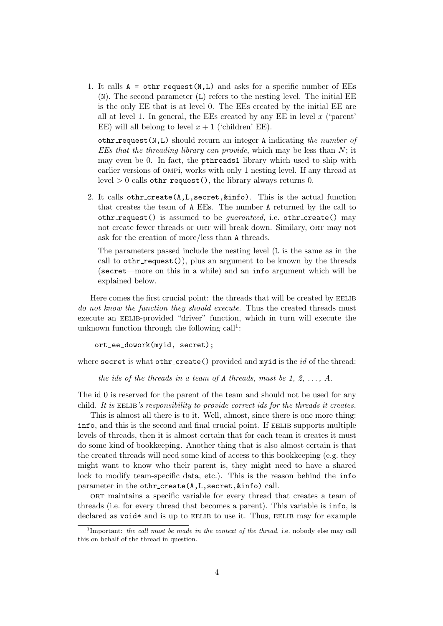1. It calls  $A = \text{other\_request}(N, L)$  and asks for a specific number of EEs (N). The second parameter (L) refers to the nesting level. The initial EE is the only EE that is at level 0. The EEs created by the initial EE are all at level 1. In general, the EEs created by any EE in level *x* ('parent' EE) will all belong to level  $x + 1$  ('children' EE).

othr request(N,L) should return an integer A indicating *the number of EEs that the threading library can provide*, which may be less than *N*; it may even be 0. In fact, the pthreads1 library which used to ship with earlier versions of ompi, works with only 1 nesting level. If any thread at  $level > 0$  calls othr\_request(), the library always returns 0.

2. It calls othr\_create( $A, L$ , secret,  $k$ info). This is the actual function that creates the team of A EEs. The number A returned by the call to othr\_request() is assumed to be *guaranteed*, i.e. othr\_create() may not create fewer threads or ORT will break down. Similary, ORT may not ask for the creation of more/less than A threads.

The parameters passed include the nesting level (L is the same as in the call to  $other\_request()$ , plus an argument to be known by the threads (secret—more on this in a while) and an info argument which will be explained below.

Here comes the first crucial point: the threads that will be created by EELIB *do not know the function they should execute*. Thus the created threads must execute an EELIB-provided "driver" function, which in turn will execute the unknown function through the following  $\text{call}^1$ :

```
ort_ee_dowork(myid, secret);
```
where secret is what othr\_create() provided and myid is the *id* of the thread:

*the ids of the threads in a team of*  $\bf{A}$  *threads, must be 1, 2, ..., A.* 

The id 0 is reserved for the parent of the team and should not be used for any child. It is EELIB's responsibility to provide correct ids for the threads it creates.

This is almost all there is to it. Well, almost, since there is one more thing: info, and this is the second and final crucial point. If EELIB supports multiple levels of threads, then it is almost certain that for each team it creates it must do some kind of bookkeeping. Another thing that is also almost certain is that the created threads will need some kind of access to this bookkeeping (e.g. they might want to know who their parent is, they might need to have a shared lock to modify team-specific data, etc.). This is the reason behind the info parameter in the othr create(A,L,secret,&info) call.

ort maintains a specific variable for every thread that creates a team of threads (i.e. for every thread that becomes a parent). This variable is info, is declared as  $\text{void*}$  and is up to EELIB to use it. Thus, EELIB may for example

<sup>&</sup>lt;sup>1</sup>Important: *the call must be made in the context of the thread*, i.e. nobody else may call this on behalf of the thread in question.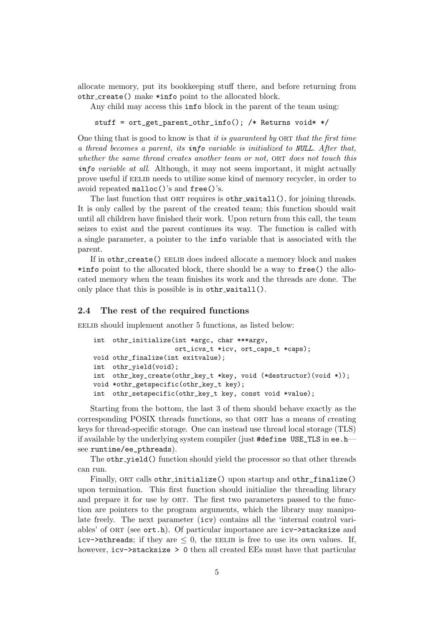allocate memory, put its bookkeeping stuff there, and before returning from othr create() make \*info point to the allocated block.

Any child may access this info block in the parent of the team using:

stuff = ort\_get\_parent\_othr\_info(); /\* Returns void\* \*/

One thing that is good to know is that *it is guaranteed by* ORT *that the first time a thread becomes a parent, its info variable is initialized to NULL. After that, whether the same thread creates another team or not,* ORT *does not touch this info variable at all*. Although, it may not seem important, it might actually prove useful if eelib needs to utilize some kind of memory recycler, in order to avoid repeated malloc()'s and free()'s.

The last function that ORT requires is othr\_waitall(), for joining threads. It is only called by the parent of the created team; this function should wait until all children have finished their work. Upon return from this call, the team seizes to exist and the parent continues its way. The function is called with a single parameter, a pointer to the info variable that is associated with the parent.

If in othr\_create() EELIB does indeed allocate a memory block and makes \*info point to the allocated block, there should be a way to free() the allocated memory when the team finishes its work and the threads are done. The only place that this is possible is in othr\_waitall().

#### **2.4 The rest of the required functions**

EELIB should implement another 5 functions, as listed below:

```
int othr_initialize(int *argc, char ***argv,
                    ort_icvs_t *icv, ort_caps_t *caps);
void othr_finalize(int exitvalue);
int othr_yield(void);
int othr_key_create(othr_key_t *key, void (*destructor)(void *));
void *othr_getspecific(othr_key_t key);
int othr_setspecific(othr_key_t key, const void *value);
```
Starting from the bottom, the last 3 of them should behave exactly as the corresponding POSIX threads functions, so that ORT has a means of creating keys for thread-specific storage. One can instead use thread local storage (TLS) if available by the underlying system compiler (just #define USE\_TLS in ee.h see runtime/ee\_pthreads).

The othr\_yield() function should yield the processor so that other threads can run.

Finally, ORT calls othr\_initialize() upon startup and othr\_finalize() upon termination. This first function should initialize the threading library and prepare it for use by ORT. The first two parameters passed to the function are pointers to the program arguments, which the library may manipulate freely. The next parameter (icv) contains all the 'internal control variables' of ort (see ort.h). Of particular importance are icv->stacksize and icv->nthreads; if they are  $\leq 0$ , the EELIB is free to use its own values. If, however, icv->stacksize > 0 then all created EEs must have that particular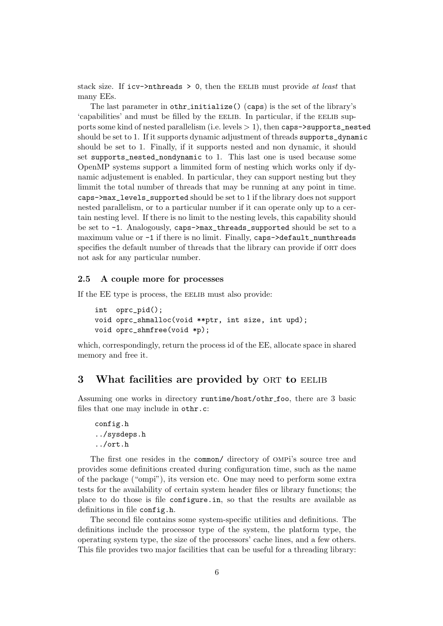stack size. If icv->nthreads > 0, then the eelib must provide *at least* that many EEs.

The last parameter in othr\_initialize() (caps) is the set of the library's 'capabilities' and must be filled by the EELIB. In particular, if the EELIB supports some kind of nested parallelism (i.e. levels *>* 1), then caps->supports\_nested should be set to 1. If it supports dynamic adjustment of threads supports\_dynamic should be set to 1. Finally, if it supports nested and non dynamic, it should set supports\_nested\_nondynamic to 1. This last one is used because some OpenMP systems support a limmited form of nesting which works only if dynamic adjustement is enabled. In particular, they can support nesting but they limmit the total number of threads that may be running at any point in time. caps->max\_levels\_supported should be set to 1 if the library does not support nested parallelism, or to a particular number if it can operate only up to a certain nesting level. If there is no limit to the nesting levels, this capability should be set to -1. Analogously, caps->max\_threads\_supported should be set to a maximum value or  $-1$  if there is no limit. Finally, caps $-\lambda$ default\_numthreads specifies the default number of threads that the library can provide if ORT does not ask for any particular number.

## **2.5 A couple more for processes**

If the EE type is process, the EELIB must also provide:

```
int oprc_pid();
void oprc_shmalloc(void **ptr, int size, int upd);
void oprc_shmfree(void *p);
```
which, correspondingly, return the process id of the EE, allocate space in shared memory and free it.

# **3** What facilities are provided by ORT to EELIB

Assuming one works in directory runtime/host/othr foo, there are 3 basic files that one may include in othr.c:

```
config.h
../sysdeps.h
../ort.h
```
The first one resides in the common/ directory of ompi's source tree and provides some definitions created during configuration time, such as the name of the package ("ompi"), its version etc. One may need to perform some extra tests for the availability of certain system header files or library functions; the place to do those is file configure.in, so that the results are available as definitions in file config.h.

The second file contains some system-specific utilities and definitions. The definitions include the processor type of the system, the platform type, the operating system type, the size of the processors' cache lines, and a few others. This file provides two major facilities that can be useful for a threading library: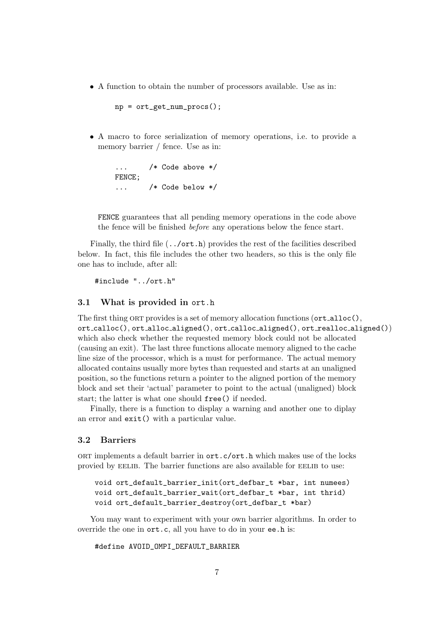*•* A function to obtain the number of processors available. Use as in:

```
np = ort\_get\_num\_process();
```
*•* A macro to force serialization of memory operations, i.e. to provide a memory barrier / fence. Use as in:

```
... /* Code above */
FENCE;
... /* Code below */
```
FENCE guarantees that all pending memory operations in the code above the fence will be finished *before* any operations below the fence start.

Finally, the third file  $($ ../ort.h) provides the rest of the facilities described below. In fact, this file includes the other two headers, so this is the only file one has to include, after all:

#include "../ort.h"

## **3.1 What is provided in** ort.h

The first thing ORT provides is a set of memory allocation functions  $(\text{ort}\_\text{alloc}(),$ ort calloc(), ort alloc aligned(), ort calloc aligned(), ort realloc aligned()) which also check whether the requested memory block could not be allocated (causing an exit). The last three functions allocate memory aligned to the cache line size of the processor, which is a must for performance. The actual memory allocated contains usually more bytes than requested and starts at an unaligned position, so the functions return a pointer to the aligned portion of the memory block and set their 'actual' parameter to point to the actual (unaligned) block start; the latter is what one should free() if needed.

Finally, there is a function to display a warning and another one to diplay an error and exit() with a particular value.

### **3.2 Barriers**

ort implements a default barrier in ort.c/ort.h which makes use of the locks provied by EELIB. The barrier functions are also available for EELIB to use:

```
void ort_default_barrier_init(ort_defbar_t *bar, int numees)
void ort default barrier wait(ort defbar t *bar, int thrid)
void ort_default_barrier_destroy(ort_defbar_t *bar)
```
You may want to experiment with your own barrier algorithms. In order to override the one in ort.c, all you have to do in your ee.h is:

```
#define AVOID_OMPI_DEFAULT_BARRIER
```